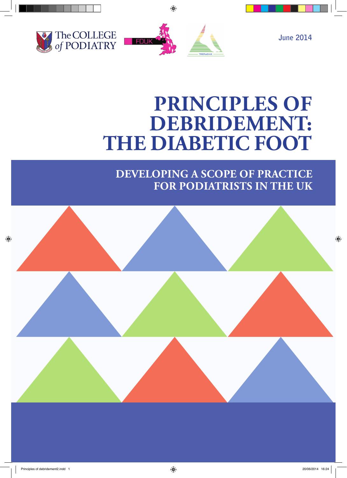



# **Principles of**  DEBRIDEMENT: **THE DIABETIC FOOT**

## **developing a Scope of Practice for Podiatrists in the UK**

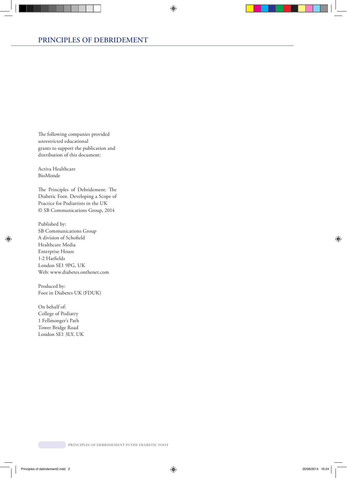The following companies provided unrestricted educational grants to support the publication and distribution of this document:

Activa Healthcare BioMonde

The Principles of Debridement: The Diabetic Foot. Developing a Scope of Practice for Podiatrists in the UK © SB Communications Group, 2014

Published by: SB Communications Group A division of Schofield Healthcare Media Enterprise House 1-2 Hatfields London SE1 9PG, UK Web: www.diabetes.onthenet.com

Produced by: Foot in Diabetes UK (FDUK)

On behalf of: College of Podiatry 1 Fellmonger's Path Tower Bridge Road London SE1 3LY, UK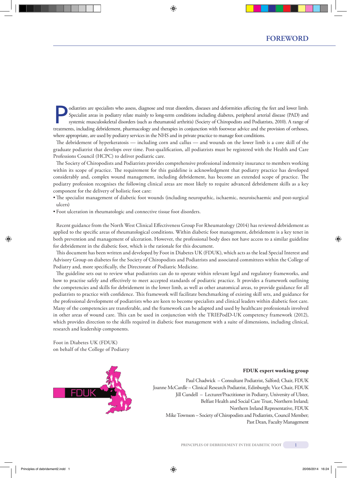Specialists are specialists who assess, diagnose and treat disorders, diseases and deformities affecting the feet and lower limb.<br>Specialist areas in podiatry relate mainly to long-term conditions including diabetes, perip Specialist areas in podiatry relate mainly to long-term conditions including diabetes, peripheral arterial disease (PAD) and treatments, including debridement, pharmacology and therapies in conjunction with footwear advice and the provision of orthoses, where appropriate, are used by podiatry services in the NHS and in private practice to manage foot conditions.

The debridement of hyperkeratosis — including corn and callus — and wounds on the lower limb is a core skill of the graduate podiatrist that develops over time. Post-qualification, all podiatrists must be registered with the Health and Care Professions Council (HCPC) to deliver podiatric care.

The Society of Chiropodists and Podiatrists provides comprehensive professional indemnity insurance to members working within its scope of practice. The requirement for this guideline is acknowledgment that podiatry practice has developed considerably and, complex wound management, including debridement, has become an extended scope of practice. The podiatry profession recognises the following clinical areas are most likely to require advanced debridement skills as a key component for the delivery of holistic foot care:

- The specialist management of diabetic foot wounds (including neuropathic, ischaemic, neuroischaemic and post-surgical ulcers)
- Foot ulceration in rheumatologic and connective tissue foot disorders.

Recent guidance from the North West Clinical Effectiveness Group For Rheumatology (2014) has reviewed debridement as applied to the specific areas of rheumatological conditions. Within diabetic foot management, debridement is a key tenet in both prevention and management of ulceration. However, the professional body does not have access to a similar guideline for debridement in the diabetic foot, which is the rationale for this document.

This document has been written and developed by Foot in Diabetes UK (FDUK), which acts as the lead Special Interest and Advisory Group on diabetes for the Society of Chiropodists and Podiatrists and associated committees within the College of Podiatry and, more specifically, the Directorate of Podiatric Medicine.

The guideline sets out to review what podiatrists can do to operate within relevant legal and regulatory frameworks, and how to practise safely and effectively to meet accepted standards of podiatric practice. It provides a framework outlining the competencies and skills for debridement in the lower limb, as well as other anatomical areas, to provide guidance for all podiatrists to practice with confidence. This framework will facilitate benchmarking of existing skill sets, and guidance for the professional development of podiatrists who are keen to become specialists and clinical leaders within diabetic foot care. Many of the competencies are transferable, and the framework can be adapted and used by healthcare professionals involved in other areas of wound care. This can be used in conjunction with the TRIEPodD-UK competency framework (2012), which provides direction to the skills required in diabetic foot management with a suite of dimensions, including clinical, research and leadership components.

Foot in Diabetes UK (FDUK) on behalf of the College of Podiatry



#### **FDUK expert working group**

Paul Chadwick – Consultant Podiatrist, Salford; Chair, FDUK Joanne McCardle – Clinical Research Podiatrist, Edinburgh; Vice Chair, FDUK Jill Cundell – Lecturer/Practitioner in Podiatry, University of Ulster, Belfast Health and Social Care Trust, Northern Ireland; Northern Ireland Representative, FDUK Mike Townson – Society of Chiropodists and Podiatrists, Council Member; Past Dean, Faculty Management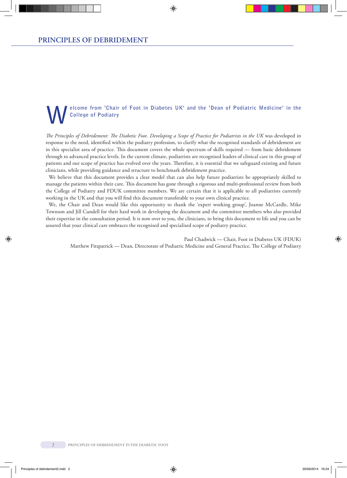### **Welcome from 'Chair of Foot in Diabetes UK' and the 'Dean of Podiatric Medicine' in the College of Podiatry**

*The Principles of Debridement: The Diabetic Foot. Developing a Scope of Practice for Podiatrists in the UK* was developed in response to the need, identified within the podiatry profession, to clarify what the recognised standards of debridement are in this specialist area of practice. This document covers the whole spectrum of skills required — from basic debridement through to advanced practice levels. In the current climate, podiatrists are recognised leaders of clinical care in this group of patients and our scope of practice has evolved over the years. Therefore, it is essential that we safeguard existing and future clinicians, while providing guidance and structure to benchmark debridement practice.

We believe that this document provides a clear model that can also help future podiatrists be appropriately skilled to manage the patients within their care. This document has gone through a rigorous and multi-professional review from both the College of Podiatry and FDUK committee members. We are certain that it is applicable to all podiatrists currently working in the UK and that you will find this document transferable to your own clinical practice.

We, the Chair and Dean would like this opportunity to thank the 'expert working group', Joanne McCardle, Mike Townson and Jill Cundell for their hard work in developing the document and the committee members who also provided their expertise in the consultation period. It is now over to you, the clinicians, to bring this document to life and you can be assured that your clinical care embraces the recognised and specialised scope of podiatry practice.

Paul Chadwick — Chair, Foot in Diabetes UK (FDUK) Matthew Fitzpatrick — Dean, Directorate of Podiatric Medicine and General Practice, The College of Podiatry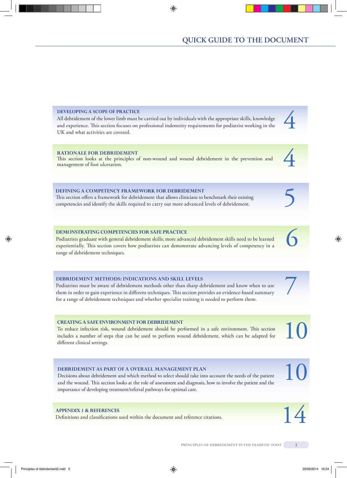### All debridement of the lower limb must be carried out by individuals with the appropriate skills, knowledge and experience. This section focuses on professional indemnity requirements for podiatrist working in the UK and what activities are covered. **Rationale for debridement** This section looks at the principles of non-wound and wound debridement in the prevention and management of foot ulceration. **Defining a competency framework for debridement**  This section offers a framework for debridement that allows clinicians to benchmark their existing competencies and identify the skills required to carry out more advanced levels of debridement. **Demonstrating competencies for safe practice** 4 4 5 6

Podiatrists graduate with general debridement skills; more advanced debridement skills need to be learned experientially. This section covers how podiatrists can demonstrate advancing levels of competency in a range of debridement techniques.

### **Debridement methods: indications and skill levels**

Podiatrists must be aware of debridement methods other than sharp debridement and know when to use them in order to gain experience in different techniques. This section provides an evidence-based summary for a range of debridement techniques and whether specialist training is needed to perform them.

### **creating a safe environment for debridement**

**Developing a scope of practice**

To reduce infection risk, wound debridement should be performed in a safe environment. This section includes a number of steps that can be used to perform wound debridement, which can be adapted for different clinical settings.

### **Debridement as part of a overall management plan**

Decisions about debridement and which method to select should take into account the needs of the patient and the wound. This section looks at the role of assessment and diagnosis, how to involve the patient and the importance of developing treatment/referral pathways for optimal care.

### **Appendix 1 & references**

Definitions and classifications used within the document and reference citations.

7

10

10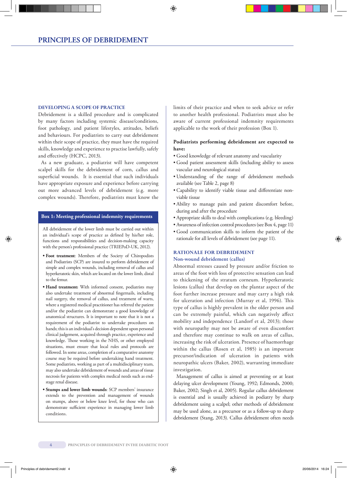### **Developing a scope of practice**

Debridement is a skilled procedure and is complicated by many factors including systemic disease/conditions, foot pathology, and patient lifestyles, attitudes, beliefs and behaviours. For podiatrists to carry out debridement within their scope of practice, they must have the required skills, knowledge and experience to practise lawfully, safely and effectively (HCPC, 2013).

As a new graduate, a podiatrist will have competent scalpel skills for the debridement of corn, callus and superficial wounds. It is essential that such individuals have appropriate exposure and experience before carrying out more advanced levels of debridement (e.g. more complex wounds). Therefore, podiatrists must know the

### **Box 1: Meeting professional indemnity requirements**

All debridement of the lower limb must be carried out within an individual's scope of practice as defined by his/her role, functions and responsibilities and decision-making capacity with the person's professional practice (TRIEPoD-UK, 2012).

- **• Foot treatment**: Members of the Society of Chiropodists and Podiatrists (SCP) are insured to perform debridement of simple and complex wounds, including removal of callus and hyperkeratotic skin, which are located on the lower limb, distal to the femur.
- **• Hand treatment:** With informed consent, podiatrists may also undertake treatment of abnormal fingernails, including nail surgery, the removal of callus, and treatment of warts, where a registered medical practitioner has referred the patient and/or the podiatrist can demonstrate a good knowledge of anatomical structures. It is important to note that it is not a requirement of the podiatrist to undertake procedures on hands; this is an individual's decision dependent upon personal clinical judgement, acquired through practice, experience and knowledge. Those working in the NHS, or other employed situations, must ensure that local rules and protocols are followed. In some areas, completion of a comparative anatomy course may be required before undertaking hand treatment. Some podiatrists, working as part of a multidisciplinary team, may also undertake debridement of wounds and areas of tissue necrosis for patients with complex medical needs such as endstage renal disease.
- **• Stumps and lower limb wounds**: SCP members' insurance extends to the prevention and management of wounds on stumps, above or below knee level, for those who can demonstrate sufficient experience in managing lower limb conditions.

limits of their practice and when to seek advice or refer to another health professional. Podiatrists must also be aware of current professional indemnity requirements applicable to the work of their profession (Box 1).

### **Podiatrists performing debridement are expected to have:**

- Good knowledge of relevant anatomy and vascularity
- Good patient assessment skills (including ability to assess vascular and neurological status)
- Understanding of the range of debridement methods available (see Table 2, page 8)
- Capability to identify viable tissue and differentiate nonviable tissue
- Ability to manage pain and patient discomfort before, during and after the procedure
- Appropriate skills to deal with complications (e.g. bleeding)
- Awareness of infection control procedures (see Box 4, page 11)
- Good communication skills to inform the patient of the rationale for all levels of debridement (see page 11).

### **Rationale for debridement Non-wound debridement (callus)**

Abnormal stresses caused by pressure and/or friction to areas of the foot with loss of protective sensation can lead to thickening of the stratum corneum. Hyperkeratotic lesions (callus) that develop on the plantar aspect of the foot further increase pressure and may carry a high risk for ulceration and infection (Murray et al, 1996). This type of callus is highly prevalent in the older person and can be extremely painful, which can negatively affect mobility and independence (Landorf et al, 2013); those with neuropathy may not be aware of even discomfort and therefore may continue to walk on areas of callus, increasing the risk of ulceration. Presence of haemorrhage within the callus (Rosen et al, 1985) is an important precursor/indication of ulceration in patients with neuropathic ulcers (Baker, 2002), warranting immediate investigation.

Management of callus is aimed at preventing or at least delaying ulcer development (Young, 1992; Edmonds, 2000; Baker, 2002; Singh et al, 2005). Regular callus debridement is essential and is usually achieved in podiatry by sharp debridement using a scalpel; other methods of debridement may be used alone, as a precursor or as a follow-up to sharp debridement (Stang, 2013). Callus debridement often needs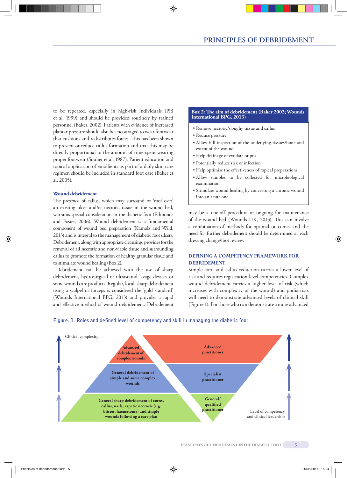to be repeated, especially in high-risk individuals (Piti et al, 1999) and should be provided routinely by trained personnel (Baker, 2002). Patients with evidence of increased plantar pressure should also be encouraged to wear footwear that cushions and redistributes forces. This has been shown to prevent or reduce callus formation and that this may be directly proportional to the amount of time spent wearing proper footwear (Soulier et al, 1987). Patient education and topical application of emollients as part of a daily skin care regimen should be included in standard foot care (Baker et al, 2005).

### **Wound debridement**

The presence of callus, which may surround or 'roof over' an existing ulcer and/or necrotic tissue in the wound bed, warrants special consideration in the diabetic foot (Edmonds and Foster, 2006). Wound debridement is a fundamental component of wound bed preparation (Kamolz and Wild, 2013) and is integral to the management of diabetic foot ulcers. Debridement, along with appropriate cleansing, provides for the removal of all necrotic and non-viable tissue and surrounding callus to promote the formation of healthy granular tissue and to stimulate wound healing (Box 2).

Debridement can be achieved with the use of sharp debridement, hydrosurgical or ultrasound lavage devices or some wound care products. Regular, local, sharp debridement using a scalpel or forceps is considered the 'gold standard' (Wounds International BPG, 2013) and provides a rapid and effective method of wound debridement. Debridement

### **Box 2: The aim of debridement (Baker 2002; Wounds International BPG, 2013)**

- Remove necrotic/sloughy tissue and callus
- Reduce pressure
- Allow full inspection of the underlying tissues/bone and extent of the wound
	- Help drainage of exudate or pus
	- Potentially reduce risk of infection
	- Help optimise the effectiveness of topical preparations
	- Allow samples to be collected for microbiological examination
	- Stimulate wound healing by converting a chronic wound into an acute one.

may be a one-off procedure or ongoing for maintenance of the wound bed (Wounds UK, 2013). This can involve a combination of methods for optimal outcomes and the need for further debridement should be determined at each dressing change/foot review.

### **Defining a competency framework for debridement**

Simple corn and callus reduction carries a lower level of risk and requires registration-level competencies. Complex wound debridement carries a higher level of risk (which increases with complexity of the wound) and podiatrists will need to demonstrate advanced levels of clinical skill (Figure 1). For those who can demonstrate a more advanced



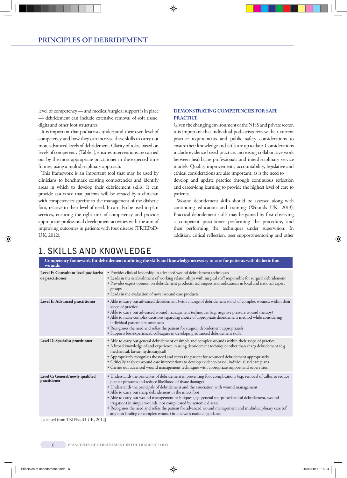level of competency — and medical/surgical support is in place — debridement can include extensive removal of soft tissue, digits and other foot structures.

It is important that podiatrists understand their own level of competency and how they can increase these skills to carry out more advanced levels of debridement. Clarity of roles, based on levels of competency (Table 1), ensures interventions are carried out by the most appropriate practitioner in the expected time frames, using a multidisciplinary approach.

This framework is an important tool that may be used by clinicians to benchmark existing competencies and identify areas in which to develop their debridement skills. It can provide assurance that patients will be treated by a clinician with competencies specific to the management of the diabetic foot, relative to their level of need. It can also be used to plan services, ensuring the right mix of competency and provide appropriate professional development activities with the aim of improving outcomes in patients with foot disease (TRIEPoD-UK, 2012).

### **Demonstrating competencies for safe practice**

Given the changing environment of the NHS and private sector, it is important that individual podiatrists review their current practice requirements and public safety considerations to ensure their knowledge and skills are up to date. Considerations include evidence-based practice, increasing collaborative work between healthcare professionals and interdisciplinary service models. Quality improvements, accountability, legislative and ethical considerations are also important, as is the need to

develop and update practice through continuous reflection and career-long learning to provide the highest level of care to patients.

Wound debridement skills should be assessed along with continuing education and training (Wounds UK, 2013). Practical debridement skills may be gained by first observing a competent practitioner performing the procedure, and then performing the techniques under supervision. In addition, critical reflection, peer support/mentoring and other

### **1. Skills and knowledge**

| Competency framework for debridement outlining the skills and knowledge necessary to care for patients with diabetic foot<br>wounds |                                                                                                                                                                                                                                                                                                                                                                                                                                                                                                                                                                                                                                                                                             |  |  |  |
|-------------------------------------------------------------------------------------------------------------------------------------|---------------------------------------------------------------------------------------------------------------------------------------------------------------------------------------------------------------------------------------------------------------------------------------------------------------------------------------------------------------------------------------------------------------------------------------------------------------------------------------------------------------------------------------------------------------------------------------------------------------------------------------------------------------------------------------------|--|--|--|
| Level F: Consultant level podiatrist<br>or practitioner                                                                             | · Provides clinical leadership in advanced wound debridement techniques<br>• Leads in the establishment of working relationships with surgical staff responsible for surgical debridement<br>• Provides expert opinion on debridement products, techniques and indications in local and national expert<br>groups<br>• Leads in the evaluation of novel wound care products                                                                                                                                                                                                                                                                                                                 |  |  |  |
| Level E: Advanced practitioner                                                                                                      | • Able to carry out advanced debridement (with a range of debridement tools) of complex wounds within their<br>scope of practice<br>• Able to carry out advanced wound management techniques (e.g. negative pressure wound therapy)<br>· Able to make complex decisions regarding choice of appropriate debridement method while considering<br>individual patient circumstances<br>• Recognises the need and refers the patient for surgical debridement appropriately<br>• Supports less-experienced colleagues in developing advanced debridement skills                                                                                                                                 |  |  |  |
| Level D: Specialist practitioner                                                                                                    | • Able to carry out general debridement of simple and complex wounds within their scope of practice<br>• A broad knowledge of and experience in using debridement techniques other than sharp debridement (e.g.<br>mechanical, larvae, hydrosurgical)<br>• Appropriately recognises the need and refers the patient for advanced debridement appropriately<br>· Critically analyses wound care interventions to develop evidence-based, individualised care plans<br>• Carries out advanced wound management techniques with appropriate support and supervision                                                                                                                            |  |  |  |
| Level C: General/newly qualified<br>practitioner                                                                                    | • Understands the principles of debridement in preventing foot complications (e.g. removal of callus to reduce<br>plantar pressures and reduce likelihood of tissue damage)<br>· Understands the principals of debridement and the association with wound management<br>• Able to carry out sharp debridement in the intact foot<br>• Able to carry out wound management techniques (e.g. general sharp/mechanical debridement, wound<br>irrigation) in simple wounds, not complicated by systemic disease<br>• Recognises the need and refers the patient for advanced wound management and multidisciplinary care (of<br>any non-healing or complex wound) in line with national guidance |  |  |  |

[adapted from TRIEPodD-UK, 2012]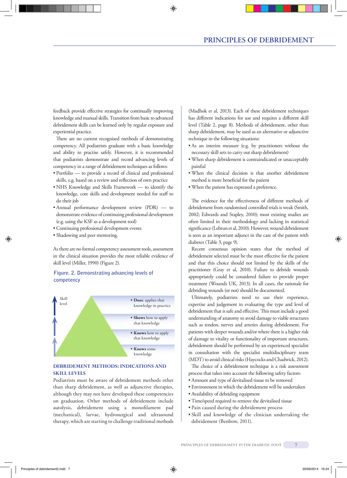feedback provide effective strategies for continually improving knowledge and manual skills. Transition from basic to advanced debridement skills can be learned only by regular exposure and experiential practice.

There are no current recognised methods of demonstrating competency. All podiatrists graduate with a basic knowledge and ability to practise safely. However, it is recommended that podiatrists demonstrate and record advancing levels of competency in a range of debridement techniques as follows:

- Portfolio to provide a record of clinical and professional skills, e.g. based on a review and reflection of own practice
- NHS Knowledge and Skills Framework to identify the knowledge, core skills and development needed for staff to do their job
- Annual performance development review (PDR) to demonstrate evidence of continuing professional development (e.g. using the KSF as a development tool)
- Continuing professional development events
- Shadowing and peer mentoring.

As there are no formal competency assessment tools, assessment in the clinical situation provides the most reliable evidence of skill level (Miller, 1990) (Figure 2).

### **Figure. 2. Demonstrating advancing levels of competency**



### **Debridement methods: indications and skill levels**

Podiatrists must be aware of debridement methods other than sharp debridement, as well as adjunctive therapies, although they may not have developed these competencies on graduation. Other methods of debridement include autolysis, debridement using a monofilament pad (mechanical), larvae, hydrosurgical and ultrasound therapy, which are starting to challenge traditional methods (Madhok et al, 2013). Each of these debridement techniques has different indications for use and requires a different skill level (Table 2, page 8). Methods of debridement, other than sharp debridement, may be used as an alternative or adjunctive technique in the following situations:

- As an interim measure (e.g. by practitioners without the necessary skill sets to carry out sharp debridement)
- When sharp debridement is contraindicated or unacceptably painful
- When the clinical decision is that another debridement method is more beneficial for the patient
- When the patient has expressed a preference.

The evidence for the effectiveness of different methods of debridement from randomised controlled trials is weak (Smith, 2002; Edwards and Stapley, 2010); most existing studies are often limited in their methodology and lacking in statistical significance (Lebrun et al, 2010). However, wound debridement is seen as an important adjunct in the care of the patient with diabetes (Table 3, page 9).

Recent consensus opinion states that the method of debridement selected must be the most effective for the patient and that this choice should not limited by the skills of the practitioner (Gray et al, 2010). Failure to debride wounds appropriately could be considered failure to provide proper treatment (Wounds UK, 2013). In all cases, the rationale for debriding wounds (or not) should be documented.

Ultimately, podiatrists need to use their experience, expertise and judgement in evaluating the type and level of debridement that is safe and effective. This must include a good understanding of anatomy to avoid damage to viable structures such as tendon, nerves and arteries during debridement. For patients with deeper wounds and/or where there is a higher risk of damage to vitality or functionality of important structures, debridement should be performed by an experienced specialist in consultation with the specialist multidisciplinary team (MDT) to avoid clinical risks (Haycocks and Chadwick, 2012).

The choice of a debridement technique is a risk assessment process that takes into account the following safety factors:

- Amount and type of devitalised tissue to be removed
- Environment in which the debridement will be undertaken
- Availability of debriding equipment
- Time/speed required to remove the devitalised tissue
- Pain caused during the debridement process
- Skill and knowledge of the clinician undertaking the debridement (Benbow, 2011).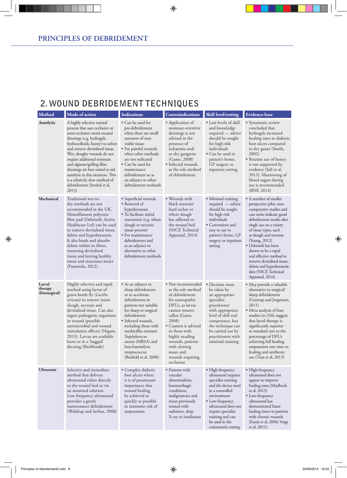### **2. Wound debridement techniques**

| Method                             | Mode of action                                                                                                                                                                                                                                                                                                                                                                                                                              | <b>Indications</b>                                                                                                                                                                                                                                                                                                         | <b>Contraindications</b>                                                                                                                                                                                                                                                                  | <b>Skill level/setting</b>                                                                                                                                                                                                                         | <b>Evidence-base</b>                                                                                                                                                                                                                                                                                                                                                                                                  |
|------------------------------------|---------------------------------------------------------------------------------------------------------------------------------------------------------------------------------------------------------------------------------------------------------------------------------------------------------------------------------------------------------------------------------------------------------------------------------------------|----------------------------------------------------------------------------------------------------------------------------------------------------------------------------------------------------------------------------------------------------------------------------------------------------------------------------|-------------------------------------------------------------------------------------------------------------------------------------------------------------------------------------------------------------------------------------------------------------------------------------------|----------------------------------------------------------------------------------------------------------------------------------------------------------------------------------------------------------------------------------------------------|-----------------------------------------------------------------------------------------------------------------------------------------------------------------------------------------------------------------------------------------------------------------------------------------------------------------------------------------------------------------------------------------------------------------------|
| Autolytic                          | A highly selective natural<br>process that uses occlusive or<br>semi-occlusive moist wound<br>dressings (e.g. hydrogels,<br>hydrocolloids, honey) to soften<br>and remove devitalised tissue.<br>Wet, sloughy wounds do not<br>require additional moisture<br>and alginate/gelling fibre<br>dressings are best suited to aid<br>autolysis in this situation. This<br>is a relatively slow method of<br>debridement (Strohal et al,<br>2013) | • Can be used for<br>pre-debridement<br>when there are small<br>amounts of non-<br>viable tissue<br>• For painful wounds<br>when other methods<br>are not indicated<br>• Can be used for<br>maintenance<br>debridement or as<br>an adjunct to other<br>debridement methods                                                 | • Application of<br>moisture-retentive<br>dressings is not<br>advised in the<br>presence of<br>ischaemia and/<br>or dry gangrene<br>(Game, 2008)<br>• Infected wounds<br>as the sole method<br>of debridement                                                                             | • Low levels of skill<br>and knowledge<br>required — advice<br>should be sought<br>for high-risk<br>individuals<br>• Can be used in<br>patient's home,<br>GP surgery or<br>inpatient setting                                                       | • Systematic review<br>concluded that<br>hydrogels increased<br>healing rates in diabetic<br>foot ulcers compared<br>to dry gauze (Smith,<br>2002)<br>• Routine use of honey<br>is not supported by<br>evidence (Jull et al,<br>2013). Monitoring of<br>blood sugars during<br>use is recommended<br>(BNF, 2014)                                                                                                      |
| Mechanical                         | Traditional wet-to-<br>dry methods are not<br>recommended in the UK.<br>Monofilament polyester<br>fibre pad (Debrisoft; Activa<br>Healthcare Ltd) can be used<br>to remove devitalised tissue,<br>debris and hyperkeratosis.<br>It also binds and absorbs<br>debris within its fibres,<br>removing devitalised<br>tissue and leaving healthy<br>tissue and structures intact<br>(Fumerola, 2012)                                            | • Superficial wounds<br>• Removal of<br>hyperkeratosis<br>• To facilitate initial<br>assessment (e.g. where<br>slough or necrotic<br>tissue present)<br>• For maintenance<br>debridement and<br>as an adjunct or<br>alternative to other<br>debridement methods                                                            | · Wounds with<br>black necrosis/<br>hard eschar or<br>where slough<br>has adhered to<br>the wound bed<br>(NICE Technical<br>Appraisal, 2014)                                                                                                                                              | • Minimal training<br>required — advice<br>should be sought<br>for high-risk<br>individuals<br>• Convenient and<br>easy to use in<br>patient's home, GP<br>surgery or inpatient<br>setting                                                         | • A number of smaller<br>prospective pilot, non-<br>comparative studies and<br>case series indicate good<br>debridement results after<br>single use on a variety<br>of tissue types, such<br>as slough and necrosis<br>(Young, 2012)<br>• Debrisoft has been<br>shown to be a rapid<br>and effective method to<br>remove devitalised tissue,<br>debris and hyperkeratotic<br>skin (NICE Technical<br>Appraisal, 2014) |
| Larval<br>therapy<br>(biosurgical) | Highly selective and rapid<br>method using larvae of<br>green bottle fly (Lucilia<br>sericata) to remove moist<br>slough, necrosis and<br>devitalised tissue. Can also<br>ingest pathogenic organisms<br>in wound (possible<br>antimicrobial and wound<br>stimulation effects) (Nigam,<br>2013). Larvae are available<br>loose or in a 'bagged'<br>dressing (BioMonde)                                                                      | • As an adjunct to<br>sharp debridement<br>or to accelerate<br>debridement in<br>patients not suitable<br>for sharp or surgical<br>debridement<br>• Infected wounds,<br>including those with<br>methicillin-resistant<br>Staphylococcus<br>aureus (MRSA) and<br>beta haemolytic<br>streptococcus<br>(Bexfield et al, 2008) | • Not recommended<br>as the sole method<br>of debridement<br>for neuropathic<br>DFUs, as larvae<br>cannot remove<br>callus (Game,<br>2008)<br>• Caution is advised<br>in those with<br>highly exuding<br>wounds, patients<br>with clotting<br>issues and<br>wounds requiring<br>occlusion | • Decision must<br>be taken by<br>an appropriate<br>specialist<br>practitioner<br>with appropriate<br>level of skill and<br>competence, but<br>the technique can<br>be carried out by<br>practitioners with<br>minimal training                    | • May provide a valuable<br>alternative to surgical/<br>sharp debridement<br>(Gottrup and Jorgensen,<br>2011)<br>• Meta-analysis of four<br>studies ( $n=356$ ) suggest<br>that larval therapy is<br>significantly superior<br>to standard care in the<br>percentage of DFUs<br>achieving full healing,<br>amputation rate time to<br>healing and antibiotic<br>use (Tian et al, 2013)                                |
| <b>Ultrasonic</b>                  | Selective and immediate<br>method that delivers<br>ultrasound either directly<br>to the wound bed or via<br>an atomised solution.<br>Low-frequency ultrasound<br>provides a gentle<br>maintenance debridement<br>(Waldrup and Serfass, 2008)                                                                                                                                                                                                | • Complex diabetic<br>foot ulcers where<br>it is of paramount<br>importance that<br>wound healing<br>be achieved as<br>quickly as possible<br>to minimise risk of<br>amputation                                                                                                                                            | • Patients with<br>vascular<br>abnormalities,<br>haemorrhagic<br>conditions,<br>malignancies and<br>tissue previously<br>treated with<br>radiation, deep<br>X-ray or irradiation                                                                                                          | • High-frequency<br>ultrasound requires<br>specialist training<br>and the device used<br>in a controlled<br>environment<br>• Low-frequency<br>ultrasound does not<br>require specialist<br>training and can<br>be used in the<br>community setting | • High-frequency<br>ultrasound does not<br>appear to improve<br>healing rates (Madhock<br>et al, 2013)<br>• Low-frequency<br>ultrasound has<br>demonstrated faster<br>healing times in patients<br>with chronic wounds<br>(Ennis et al, 2006; Voigt<br>et al, 2011)                                                                                                                                                   |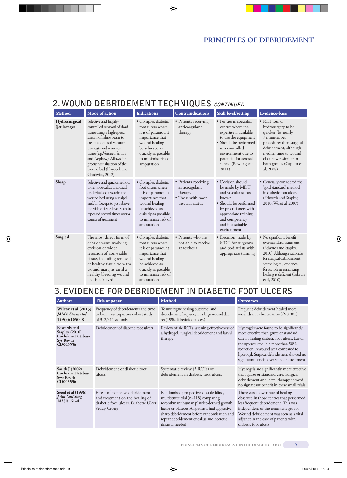### **2. Wound debridement techniques continued**

| Method                        | Mode of action                                                                                                                                                                                                                                                                                             | <b>Indications</b>                                                                                                                                                              | <b>Contraindications</b>                                                                 | Skill level/setting                                                                                                                                                                                                          | <b>Evidence-base</b>                                                                                                                                                                                                                          |
|-------------------------------|------------------------------------------------------------------------------------------------------------------------------------------------------------------------------------------------------------------------------------------------------------------------------------------------------------|---------------------------------------------------------------------------------------------------------------------------------------------------------------------------------|------------------------------------------------------------------------------------------|------------------------------------------------------------------------------------------------------------------------------------------------------------------------------------------------------------------------------|-----------------------------------------------------------------------------------------------------------------------------------------------------------------------------------------------------------------------------------------------|
| Hydrosurgical<br>(jet lavage) | Selective and highly-<br>controlled removal of dead<br>tissue using a high-speed<br>stream of saline beam to<br>create a localised vacuum<br>that cuts and removes<br>tissue (e.g. Versajet, Smith<br>and Nephew). Allows for<br>precise visualisation of the<br>wound bed (Haycock and<br>Chadwick, 2012) | · Complex diabetic<br>foot ulcers where<br>it is of paramount<br>importance that<br>wound healing<br>be achieved as<br>quickly as possible<br>to minimise risk of<br>amputation | • Patients receiving<br>anticoagulant<br>therapy                                         | • For use in specialist<br>centres where the<br>expertise is available<br>to use the equipment<br>• Should be performed<br>in a controlled<br>environment due to<br>potential for aerosol<br>spread (Bowling et al,<br>2011) | • RCT found<br>hydrosurgery to be<br>quicker (by nearly<br>7 minutes per<br>procedure) than surgical<br>debridement, although<br>median time to wound<br>closure was similar in<br>both groups (Caputo et<br>al, 2008)                        |
| Sharp                         | Selective and quick method<br>to remove callus and dead<br>or devitalised tissue in the<br>wound bed using a scalpel<br>and/or forceps to just above<br>the viable tissue level. Can be<br>repeated several times over a<br>course of treatment                                                            | · Complex diabetic<br>foot ulcers where<br>it is of paramount<br>importance that<br>wound healing<br>be achieved as<br>quickly as possible<br>to minimise risk of<br>amputation | • Patients receiving<br>anticoagulant<br>therapy<br>• Those with poor<br>vascular status | • Decision should<br>be made by MDT<br>and vascular status<br>known<br>• Should be performed<br>by practitioners with<br>appropriate training<br>and competency<br>and in a suitable<br>environment                          | • Generally considered the<br>'gold standard' method<br>in diabetic foot ulcers<br>(Edwards and Stapley,<br>2010; Wu et al, 2007)                                                                                                             |
| Surgical                      | The most direct form of<br>debridement involving<br>excision or wider<br>resection of non-viable<br>tissue, including removal<br>of healthy tissue from the<br>wound margins until a<br>healthy bleeding wound<br>bed is achieved                                                                          | • Complex diabetic<br>foot ulcers where<br>it is of paramount<br>importance that<br>wound healing<br>be achieved as<br>quickly as possible<br>to minimise risk of<br>amputation | • Patients who are<br>not able to receive<br>anaesthesia                                 | • Decision made by<br>MDT for surgeons<br>and podiatrists with<br>appropriate training                                                                                                                                       | • No significant benefit<br>over standard treatment<br>(Edwards and Stapley,<br>2010). Although rationale<br>for surgical debridement<br>seems logical, evidence<br>for its role in enhancing<br>healing is deficient (Lebrun<br>et al, 2010) |

### **3. Evidence for debridement in diabetic foot ulcers**

| <b>Authors</b>                                                                                    | Title of paper                                                                                                            | <b>Method</b>                                                                                                                                                                                                                                                                              | <b>Outcomes</b>                                                                                                                                                                                                                                                                                            |
|---------------------------------------------------------------------------------------------------|---------------------------------------------------------------------------------------------------------------------------|--------------------------------------------------------------------------------------------------------------------------------------------------------------------------------------------------------------------------------------------------------------------------------------------|------------------------------------------------------------------------------------------------------------------------------------------------------------------------------------------------------------------------------------------------------------------------------------------------------------|
| Wilcox et al $(2013)$<br><b>JAMA</b> Dermatol<br>149(9):1050-8                                    | Frequency of debridements and time<br>to heal: a retrospective cohort study<br>of 312,744 wounds                          | To investigate healing outcomes and<br>debridement frequency in a large wound data<br>set (19% diabetic foot ulcers)                                                                                                                                                                       | Frequent debridement healed more<br>wounds in a shorter time $(P<0.001)$                                                                                                                                                                                                                                   |
| <b>Edwards</b> and<br><b>Stapley (2010)</b><br><b>Cochrane Database</b><br>Sys Rev 1:<br>CD003556 | Debridement of diabetic foot ulcers                                                                                       | Review of six RCTs assessing effectiveness of<br>a hydrogel, surgical debridement and larval<br>therapy                                                                                                                                                                                    | Hydrogels were found to be significantly<br>more effective than gauze or standard<br>care in healing diabetic foot ulcers. Larval<br>therapy resulted in a more than 50%<br>reduction in wound area compared to<br>hydrogel. Surgical debridement showed no<br>significant benefit over standard treatment |
| Smith $J(2002)$<br><b>Cochrane Database</b><br>Syst Rev 4:<br>CD003556                            | Debridement of diabetic foot<br>ulcers                                                                                    | Systematic review (5 RCTs) of<br>debridement in diabetic foot ulcers                                                                                                                                                                                                                       | Hydrogels are significantly more effective<br>than gauze or standard care. Surgical<br>debridement and larval therapy showed<br>no significant benefit in these small trials                                                                                                                               |
| Steed et al (1996)<br>J Am Coll Surg<br>$183(1): 61-4$                                            | Effect of extensive debridement<br>and treatment on the healing of<br>diabetic foot ulcers. Diabetic Ulcer<br>Study Group | Randomised prospective, double-blind,<br>multicentre trial (n=118) comparing<br>recombinant human platelet-derived growth<br>factor or placebo. All patients had aggressive<br>sharp debridement before randomisation and<br>repeat debridement of callus and necrotic<br>tissue as needed | There was a lower rate of healing<br>observed in those centres that performed<br>less frequent debridement. This was<br>independent of the treatment group.<br>Wound debridement was seen as a vital<br>adjunct in the care of patients with<br>diabetic foot ulcers                                       |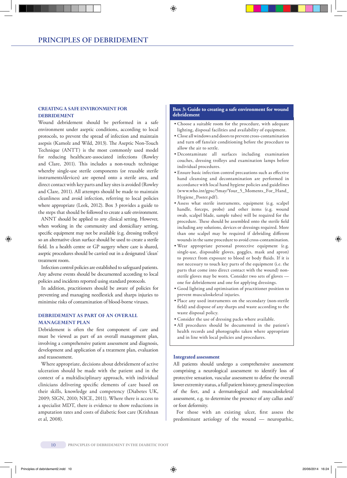### **creating a safe environment for DEBRIDEMENT**

Wound debridement should be performed in a safe environment under aseptic conditions, according to local protocols, to prevent the spread of infection and maintain asepsis (Kamolz and Wild, 2013). The Aseptic Non-Touch Technique (ANTT) is the most commonly used model for reducing healthcare-associated infections (Rowley and Clare, 2011). This includes a non-touch technique whereby single-use sterile components (or reusable sterile instruments/devices) are opened onto a sterile area, and direct contact with key parts and key sites is avoided (Rowley and Clare, 2011). All attempts should be made to maintain cleanliness and avoid infection, referring to local policies where appropriate (Leek, 2012). Box 3 provides a guide to the steps that should be followed to create a safe environment.

ANNT should be applied to any clinical setting. However, when working in the community and domiciliary setting, specific equipment may not be available (e.g. dressing trolleys) so an alternative clean surface should be used to create a sterile field. In a health centre or GP surgery where care is shared, aseptic procedures should be carried out in a designated 'clean' treatment room.

Infection control policies are established to safeguard patients. Any adverse events should be documented according to local policies and incidents reported using standard protocols.

In addition, practitioners should be aware of policies for preventing and managing needlestick and sharps injuries to minimise risks of contamination of blood-borne viruses.

### **Debridement as part of aN overall management plan**

Debridement is often the first component of care and must be viewed as part of an overall management plan, involving a comprehensive patient assessment and diagnosis, development and application of a treatment plan, evaluation and reassessment.

Where appropriate, decisions about debridement of active ulceration should be made with the patient and in the context of a multidisciplinary approach, with individual clinicians delivering specific elements of care based on their skills, knowledge and competency (Diabetes UK, 2009; SIGN, 2010; NICE, 2011). Where there is access to a specialist MDT, there is evidence to show reductions in amputation rates and costs of diabetic foot care (Krishnan et al, 2008).

### **Box 3: Guide to creating a safe environment for wound debridement**

- Choose a suitable room for the procedure, with adequate lighting, disposal facilities and availability of equipment.
- Close all windows and doors to prevent cross-contamination and turn off fans/air conditioning before the procedure to allow the air to settle.
- Decontaminate all surfaces including examination couches, dressing trolleys and examination lamps before individual procedures.
- Ensure basic infection control precautions such as effective hand cleansing and decontamination are performed in accordance with local hand hygiene policies and guidelines (www.who.int/gpsc/5may/Your\_5\_Moments\_For\_Hand\_ Hygiene\_Poster.pdf).
- Assess what sterile instruments, equipment (e.g. scalpel handle, forceps, probe) and other items (e.g. wound swab, scalpel blade, sample tubes) will be required for the procedure. These should be assembled onto the sterile field including any solutions, devices or dressings required. More than one scalpel may be required if debriding different wounds in the same procedure to avoid cross-contamination.
- Wear appropriate personal protective equipment (e.g. single-use, disposable gloves, goggles, mask and apron) to protect from exposure to blood or body fluids. If it is not necessary to touch key parts of the equipment (i.e. the parts that come into direct contact with the wound) nonsterile gloves may be worn. Consider two sets of gloves one for debridement and one for applying dressings.
- Good lighting and optimisation of practitioner position to prevent musculoskeletal injuries.
- Place any used instruments on the secondary (non-sterile field) and dispose of any sharps and waste according to the waste disposal policy.
- Consider the use of dressing packs where available.
- All procedures should be documented in the patient's health records and photographs taken where appropriate and in line with local policies and procedures.

### **Integrated assessment**

All patients should undergo a comprehensive assessment comprising a neurological assessment to identify loss of protective sensation, vascular assessment to define the overall lower extremity status, a full patient history, general inspection of the feet, and a dermatological and musculoskeletal assessment, e.g. to determine the presence of any callus and/ or foot deformity.

For those with an existing ulcer, first assess the predominant aetiology of the wound — neuropathic,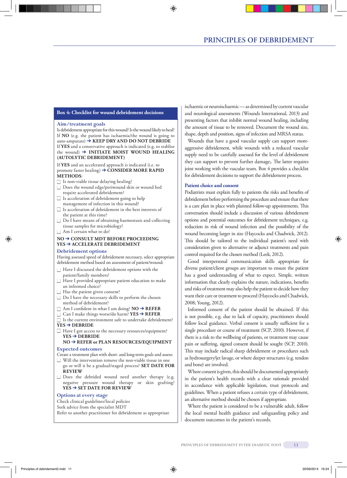### **Box 4: Checklist for wound debridement decisions**

#### **Aim/treatment goals**

Is debridement appropriate for this wound? Is the wound likely to heal? If **NO** (e.g. the patient has ischaemia/the wound is going to auto-amputate) ➔ **KEEP DRY AND DO NOT DEBRIDE** If **YES** and a conservative approach is indicated (e.g. to stablise the wound) ➔ **INITIATE MOIST WOUND HEALING (AUTOLYTIC DEBRIDEMENT)**

If **YES** and an accelerated approach is indicated (i.e. to promote faster healing) ➔ **CONSIDER MORE RAPID METHODS**:

- $\Box$  Is non-viable tissue delaying healing?
- □ Does the wound edge/periwound skin or wound bed require accelerated debridement?
- $\Box$  Is acceleration of debridement going to help management of infection in this wound?
- $\Box$  Is acceleration of debridement in the best interests of the patient at this time?
- $\Box$  Do I have means of obtaining haemostasis and collecting tissue samples for microbiology?
- $\Box$  Am I certain what to do?

### **NO** ➔ **CONSULT MDT BEFORE PROCEEDING YES** ➔ **ACCELERATE DEBRIDEMENT**

#### **Debridement options**

Having assessed speed of debridement necessary, select appropriate debridement method based on assessment of patient/wound:

- $\Box$  Have I discussed the debridement options with the patient/family members?
- $\Box$  Have I provided appropriate patient education to make an informed choice?
- $\Box$  Has the patient given consent?
- $\Box$  Do I have the necessary skills to perform the chosen method of debridement?
- Am I confident in what I am doing? **NO** ➔ **REFER**
- Can I make things worse/do harm? **YES** ➔ **REFER**

 $\Box$  Is the current environment safe to undertake debridement? **YES** ➔ **DEBRIDE**

□ Have I got access to the necessary resources/equipment? **YES** ➔ **DEBRIDE**

### **NO** ➔ **REFER or PLAN RESOURCES/EQUIPMENT**

### **Expected outcomes**

- Create a treatment plan with short- and long-term goals and assess:
- $\Box$  Will the intervention remove the non-viable tissue in one go or will it be a gradual/staged process? **SET DATE FOR REVIEW**
- $\Box$  Does the debrided wound need another therapy (e.g. negative pressure wound therapy or skin grafting? **YES** ➔ **SET DATE FOR REVIEW**

#### **Options at every stage**

Check clinical guidelines/local policies

Seek advice from the specialist MDT

Refer to another practitioner for debridement as appropriate

ischaemic or neuroischaemic — as determined by current vascular and neurological assessments (Wounds International, 2013) and presenting factors that inhibit normal wound healing, including the amount of tissue to be removed. Document the wound size, shape, depth and position, signs of infection and MRSA status.

Wounds that have a good vascular supply can support moreaggressive debridement, while wounds with a reduced vascular supply need to be carefully assessed for the level of debridement they can support to prevent further damage;. The latter requires joint working with the vascular team. Box 4 provides a checklist for debridement decisions to support the debridement process.

#### **Patient choice and consent**

Podiatrists must explain fully to patients the risks and benefits of debridement before performing the procedure and ensure that there is a care plan in place with planned follow-up appointments. This conversation should include a discussion of various debridement options and potential outcomes for debridement techniques, e.g. reduction in risk of wound infection and the possibility of the wound becoming larger in size (Haycocks and Chadwick, 2012). This should be tailored to the individual patient's need with consideration given to alternative or adjunct treatments and pain control required for the chosen method (Leek, 2012).

Good interpersonal communication skills appropriate for diverse patient/client groups are important to ensure the patient has a good understanding of what to expect. Simple, written information that clearly explains the nature, indications, benefits and risks of treatment may also help the patient to decide how they want their care or treatment to proceed (Haycocks and Chadwick, 2008; Young, 2012).

Informed consent of the patient should be obtained. If this is not possible, e.g. due to lack of capacity, practitioners should follow local guidance. Verbal consent is usually sufficient for a single procedure or course of treatment (SCP, 2010). However, if there is a risk to the wellbeing of patients, or treatment may cause pain or suffering, signed consent should be sought (SCP, 2010). This may include radical sharp debridement or procedures such as hydrosurgery/jet lavage, or where deeper structures (e.g. tendon and bone) are involved.

Where consent is given, this should be documented appropriately in the patient's health records with a clear rationale provided in accordance with applicable legislation, trust protocols and guidelines. When a patient refuses a certain type of debridement, an alternative method should be chosen if appropriate.

Where the patient is considered to be a vulnerable adult, follow the local mental health guidance and safeguarding policy and document outcomes in the patient's records.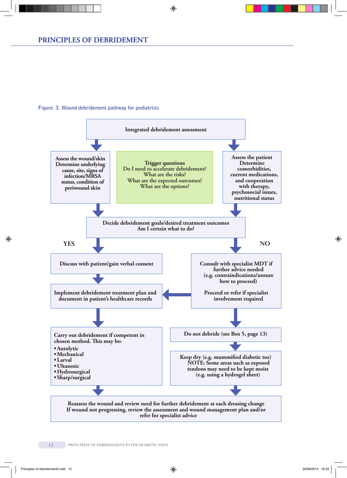### **Figure. 3. Wound debridement pathway for podiatrists**

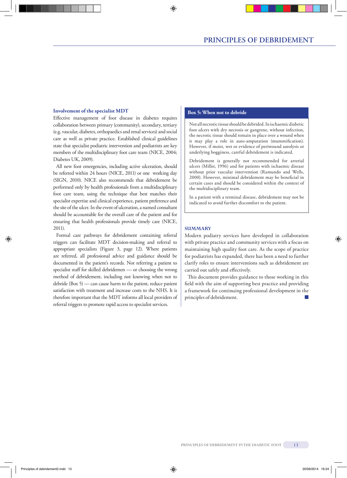### **Example 1** Involvement of the specialist MDT

Effective management of foot disease in diabetes requires collaboration between primary (community), secondary, tertiary (e.g. vascular, diabetes, orthopaedics and renal services) and social care as well as private practice. Established clinical guidelines state that specialist podiatric intervention and podiatrists are key members of the multidisciplinary foot care team (NICE, 2004; Diabetes UK, 2009).

All new foot emergencies, including active ulceration, should be referred within 24 hours (NICE, 2011) or one working day (SIGN, 2010). NICE also recommends that debridement be performed only by health professionals from a multidisciplinary foot care team, using the technique that best matches their specialist expertise and clinical experience, patient preference and the site of the ulcer. In the event of ulceration, a named consultant should be accountable for the overall care of the patient and for ensuring that health professionals provide timely care (NICE, 2011).

Formal care pathways for debridement containing referral triggers can facilitate MDT decision-making and referral to appropriate specialists (Figure 3, page 12). Where patients are referred, all professional advice and guidance should be documented in the patient's records. Not referring a patient to specialist staff for skilled debridemen — or choosing the wrong method of debridement, including not knowing when not to debride (Box 5) — can cause harm to the patient, reduce patient satisfaction with treatment and increase costs to the NHS. It is therefore important that the MDT informs all local providers of referral triggers to promote rapid access to specialist services.

Not all necrotic tissue should be debrided. In ischaemic diabetic foot ulcers with dry necrosis or gangrene, without infection, the necrotic tissue should remain in place over a wound when it may play a role in auto-amputation (mummification). However, if moist, wet or evidence of periwound autolysis or underlying bogginess, careful debridement is indicated.

Debridement is generally not recommended for arterial ulcers (Miller, 1996) and for patients with ischaemic disease without prior vascular intervention (Ramundo and Wells, 2000). However, minimal debridement may be beneficial in certain cases and should be considered within the context of the multidisciplinary team.

In a patient with a terminal disease, debridement may not be indicated to avoid further discomfort to the patient.

### **Summary**

Modern podiatry services have developed in collaboration with private practice and community services with a focus on maintaining high quality foot care. As the scope of practice for podiatrists has expanded, there has been a need to further clarify roles to ensure interventions such as debridement are carried out safely and effectively.

This document provides guidance to those working in this field with the aim of supporting best practice and providing a framework for continuing professional development in the principles of debridement.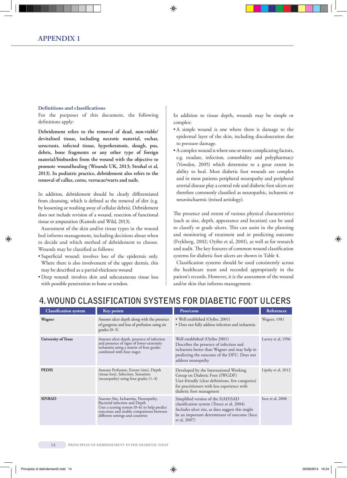#### **Definitions and classifications**

For the purposes of this document, the following definitions apply:

**Debridement refers to the removal of dead, non-viable/ devitalised tissue, including necrotic material, eschar, serocrusts, infected tissue, hyperkeratosis, slough, pus, debris, bone fragments or any other type of foreign material/bioburden from the wound with the objective to promote woundhealing (Wounds UK, 2013; Strohal et al, 2013). In podiatric practice, debridement also refers to the removal of callus, corns, verrucae/warts and nails.**

In addition, debridement should be clearly differentiated from cleansing, which is defined as the removal of dirt (e.g. by loosening or washing away of cellular debris). Debridement does not include revision of a wound, resection of functional tissue or amputation (Kamolz and Wild, 2013).

Assessment of the skin and/or tissue types in the wound bed informs management, including decisions about when to decide and which method of debridement to choose. Wounds may be classified as follows:

- Superficial wound: involves loss of the epidermis only. Where there is also involvement of the upper dermis, this may be described as a partial-thickness wound
- Deep wound: involves skin and subcutaneous tissue loss with possible penetration to bone or tendon.

In addition to tissue depth, wounds may be simple or complex:

- A simple wound is one where there is damage to the epidermal layer of the skin, including discolouration due to pressure damage.
- A complex wound is where one or more complicating factors, e.g. exudate, infection, comorbidity and polypharmacy (Vowden, 2005) which determine to a great extent its ability to heal. Most diabetic foot wounds are complex and in most patients peripheral neuropathy and peripheral arterial disease play a central role and diabetic foot ulcers are therefore commonly classified as neuropathic, ischaemic or neuroischaemic (mixed aetiology).

The presence and extent of various physical characteristics (such as size, depth, appearance and location) can be used to classify or grade ulcers. This can assist in the planning and monitoring of treatment and in predicting outcome (Frykberg, 2002; Oyibo et al, 2001), as well as for research and audit. The key features of common wound classification systems for diabetic foot ulcers are shown in Table 4.

Classification systems should be used consistently across the healthcare team and recorded appropriately in the patient's records. However, it is the assessment of the wound and/or skin that informs management.

### **4. wound classification systems for diabetic foot ulcers**

| <b>Classification system</b> | <b>Key points</b>                                                                                                                                                                                      | Pros/cons                                                                                                                                                                                               | <b>References</b>    |
|------------------------------|--------------------------------------------------------------------------------------------------------------------------------------------------------------------------------------------------------|---------------------------------------------------------------------------------------------------------------------------------------------------------------------------------------------------------|----------------------|
| Wagner                       | Assesses ulcer depth along with the presence<br>of gangrene and loss of perfusion using six<br>grades $(0-5)$                                                                                          | • Well established (Oyibo, 2001)<br>· Does not fully address infection and ischaemia                                                                                                                    | <b>Wagner</b> , 1981 |
| <b>University of Texas</b>   | Assesses ulcer depth, presence of infection<br>and presence of signs of lower-extremity<br>ischaemia using a matrix of four grades<br>combined with four stages                                        | Well established (Oyibo 2001)<br>Describes the presence of infection and<br>ischaemia better than Wagner and may help in<br>predicting the outcome of the DFU. Does not<br>address neuropathy           | Lavery et al, 1996   |
| <b>PEDIS</b>                 | Assesses Perfusion, Extent (size), Depth<br>(tissue loss), Infection, Sensation<br>(neuropathy) using four grades $(1-4)$                                                                              | Developed by the International Working<br>Group on Diabetic Foot (IWGDF)<br>User-friendly (clear definitions, few categories)<br>for practitioners with less experience with<br>diabetic foot managment | Lipsky et al, 2012   |
| <b>SINBAD</b>                | Assesses Site, Ischaemia, Neuropathy,<br>Bacterial infection and Depth<br>Uses a scoring system $(0-6)$ to help predict<br>outcomes and enable comparisons between<br>different settings and countries | Simplified version of the S(AD)SAD<br>classification system (Treece et al, 2004)<br>Includes ulcer site, as data suggest this might<br>be an important determinant of outcome (Ince<br>et al, 2007)     | Ince et al, 2008     |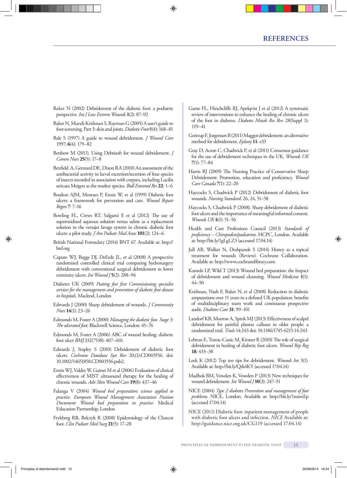- Baker N (2002) Debridement of the diabetic foot: a podiatric perspective. *Int J Low Extrem Wounds* **1**(2): 87–92
- Baker N, Murali-Krishnan S, Rayman G (2005) A user's guide to foot screening. Part 3: skin and joints. *Diabetic Foot* 8(4): 168–81
- Bale S (1997) A guide to wound debridement. *J Wound Care* 1997; **6**(4): 179–82
- Benbow M (2011). Using Debrisoft for wound debridement. *J Comm Nurs* **25**(5): 17–8
- Bexfield A, Gennard DE, Dixon RA (2010) An assessment of the antibacterial activity in larval excretion/secretion of four species of insects recorded in association with corpses, including Lucilia sericata Meigen as the marker species. *Bull Entomol Res* **22**: 1–6
- Boulton AJM, Meneses P, Ennis W, et al (1999) Diabetic foot ulcers: a framework for prevention and care. *Wound Repair Regen* **7**: 7–16
- Bowling FL, Crews RT, Salgami E et al (2012) The use of superoxidised aqueous solution versus saline as a replacement solution in the versajet lavage system in chronic diabetic foot ulcers: a pilot study. *J Am Podiatr Med Assoc* **101**(2): 124–6
- British National Formulary (2014) BNT 67. Available at: http:// bnf.org
- Caputo WJ, Beggs DJ, DeFede JL, et al (2008) A prospective randomised controlled clinical trial comparing hydrosurgery debridement with conventional surgical debridement in lower extremity ulcers. *Int Wound J* **5**(2): 288-94
- Diabetes UK (2009) *Putting feet first Commissioning specialist services for the management and prevention of diabetic foot disease in hospitals.* Macleod, London
- Edwards J (2000) Sharp debridement of wounds. *J Community Nurs* **14**(1): 23–26
- Edmonds M, Foster A (2000) *Managing the diabetic foot. Stage 3: The ulcerated foot*. Blackwell Science, London: 45–76
- Edmonds M, Foster A (2006) ABC of wound healing: diabetic foot ulcer *BMJ*.332(7538): 407–410.
- Edwards J, Stapley S (2010) Debridement of diabetic foot ulcers. *Cochrane Database Syst Rev* 20;(1):CD003556. doi: 10.1002/14651858.CD003556.pub2.
- Ennis WJ, Valdes W, Gainer M et al (2006) Evaluation of clinical effectiveness of MIST ultrasound therapy for the healing of chronic wounds. *Adv Skin Wound Care* **19**(8): 437–46
- Falanga V (2004) *Wound bed preparation: science applied to practice. European Wound Management Association Position Document: Wound bed preparation in practice.* Medical Education Partnership, London
- Frykberg RB, Belczyk R (2008) Epidemiology of the Charcot foot. *Clin Podiatr Med Surg* **21**(5): 17–28
- Game FL, Hinchcliffe RJ, Apelqvist J et al (2012) A systematic review of interventions to enhance the healing of chronic ulcers of the foot in diabetes. *Diabetes Metab Res Rev* 28(Suppl 1): 119–41
- Gottrup F, Jorgensen B (2011) Maggot debridement: an alternative method for debridement. *Eplasty* **11**: e33
- Gray D, Acton C, Chadwick P, et al (2011) Consensus guidance for the use of debridement techniques in the UK. *Wounds UK* **7**(1): 77–84
- Harris RJ (2009) The Nursing Practice of Conservative Sharp Debridement: Promotion, education and proficiency. *Wound Care Canada* **7**(1): 22–20
- Haycocks S, Chadwick P (2012) Debridement of diabetic foot wounds. *Nursing Standard*. 26, 24, 51–58
- Haycocks S, Chadwick P (2008). Sharp debridement of diabetic foot ulcers and the importance of meaningful informed consent. *Wounds UK* **4**(1): 51–56
- Health and Care Professions Council (2013) *Standards of proficiency – Chiropodists/podiatrists*. HCPC, London. Available at: http://bit.ly/1gLgLZ3 (accessed 17.04.14)
- Jull AB, Walker N, Deshpande S (2014) Honey as a topical treatment for wounds (Review). Cochrane Collaboration. Available at: http://www.cochranelibrary.com
- Kamolz LP, Wild T (2013) Wound bed preparation: the Impact of debridement and wound cleansing. *Wound Medicine* **1**(1): 44–50
- Krishnan, Nash F, Baker N, et al (2008) Reduction in diabetic amputations over 11 years in a defined UK population: benefits of multidisciplinary team work and continuous prospective audit. *Diabetes Care* **31**: 99–101
- Landorf KB, Morrow A, Spink MJ (2013) Effectiveness of scalpel debridement for painful plantar calluses in older people: a randomized trial. *Trials* 14:243 doi: 10.1186/1745-6215-14-243
- Lebrun E, Tomic-Canic M, Kirsner R (2010) The role of surgical debridement in healing of diabetic foot ulcers. *Wound Rep Reg* **18**: 433–38
- Leek K (2012) Top ten tips for debridement. *Wounds Int* 3(1). Available at: http://bit.ly/Qrk4KY (accessed 17.04.14)
- Madhok BM, Vowden K, Vowden P (2013) New techniques for wound debridement. *Int Wound J* **10**(3): 247–51
- NICE (2004) *Type 2 diabetes Prevention and management of foot problems*. NICE, London. Available at: http://bit.ly/1nsimEp (accessed 17.04.14)
- NICE (2011) Diabetic foot: inpatient management of people with diabetic foot ulcers and infection. *NICE* Available at: http://guidance.nice.org.uk/CG119 (accessed 17.04.14)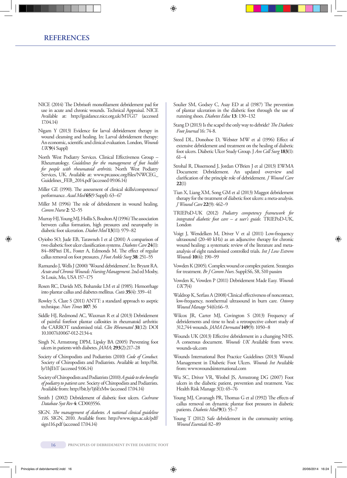- NICE (2014) The Debrisoft monofilament debridement pad for use in acute and chronic wounds. Technical Appraisal. NICE Available at: http://guidance.nice.org.uk/MTG17 (accessed 17.04.14)
- Nigam Y (2013) Evidence for larval debridement therapy in wound cleansing and healing. In: Larval debridement therapy: An economic, scientific and clinical evaluation. London, *Wounds UK***9**(4 Suppl)
- North West Podiatry Services. Clinical Effectiveness Group Rheumatology. *Guidelines for the management of foot health for people with rheumatoid arthritis*. North West Podiatry Services, UK. Available at: www.prcassoc.org/files/NWCEG\_ Guidelines\_FEB\_2014.pdf (accessed 09.06.14)
- Miller GE (1990). The assessment of clinical skills/competence/ performance. *Acad Med* **65**(9 Suppl): 63–67
- Miller M (1996) The role of debridement in wound healing. *Comm Nurse* **2**: 52–55
- Murray HJ, Young MJ, Hollis S, Boulton AJ (1996) The association between callus formation, high pressures and neuropathy in diabetic foot ulceration. *Diabet Med* **13**(11): 979–82
- Oyiobo SO, Jude EB, Tarawneh I et al (2001) A comparison of two diabetic foot ulcer classification systems. *Diabetes Care* **24**(1): 84–88Pitei DL, Foster A, Edmonds M. The effect of regular callus removal on foot pressures. *J Foot Ankle Surg* **38**: 251–55
- Ramundo J, Wells J (2000) 'Wound debridement'. In: Bryant RA. *Acute and Chronic Wounds: Nursing Management*. 2nd ed Mosby, St Louis, Mo, USA 157–175
- Rosen RC, Davids MS, Bohanske LM et al (1985). Hemorrhage into plantar callus and diabetes mellitus. *Cutis* **35**(4): 339–41
- Rowley S, Clare S (2011) ANTT: a standard approach to aseptic technique. *Nurs Times* **107**: 36
- Siddle HJ, Redmond AC, Waxman R et al (2013) Debridement of painful forefoot plantar callosities in rheumatoid arthritis: the CARROT randomised trial. *Clin Rheumatol* **31**(12): DOI 10.1007/s10067-012-2134-x
- Singh N, Armstrong DPM, Lipsky BA (2005) Preventing foot ulcers in patients with diabetes. *JAMA*; **293**(2):217–28
- Society of Chiropodists and Podiatrists (2010) *Code of Conduct.*  Society of Chiropodists and Podiatrists. Available at: http://bit. ly/1hJI1tT (accessed 9.06.14)
- Society of Chiropodists and Podiatrists (2010) *A guide to the benefits of podiatry to patient care.* Society of Chiropodists and Podiatrists. Available from: http://bit.ly/1j6EtMw (accessed 17.04.14)
- Smith J (2002) Debridement of diabetic foot ulcers. *Cochrane Database Syst Rev* **4**: CD003556.
- SIGN. *The management of diabetes. A national clinical guideline 116*. SIGN, 2010. Available from: http://www.sign.ac.uk/pdf/ sign116.pdf (accessed 17.04.14)
- Soulier SM, Godsey C, Asay ED at al (1987) The prevention of plantar ulceration in the diabetic foot through the use of running shoes. *Diabetes Educ* **13**: 130–132
- Stang D (2013) Is the scapel the only way to debride? *The Diabetic Foot Journal* 16: 74-8.
- Steed DL, Donohoe D, Webster MW et al (1996) Effect of extensive debridement and treatment on the healing of diabetic foot ulcers. Diabetic Ulcer Study Group. J *Am Coll Surg* **183**(1): 61–4
- Strohal R, Dissemond J, Jordan O'Brien J et al (2013) EWMA Document: Debridement. An updated overview and clarification of the principle role of debridement. *J Wound Care* **22**(1)
- Tian X, Liang XM, Song GM et al (2013) Maggot debridement therapy for the treatment of diabetic foot ulcers: a meta-analysis. *J Wound Care* **22**(9): 462–9
- TRIEPoD-UK (2012) *Podiatry competency framework for integrated diabetic foot care – a user's guide*. TRIEPoD-UK, London
- Voigt J, Wendelken M, Driver V et al (2011) Low-frequency ultrasound (20-40 kHz) as an adjunctive therapy for chronic wound healing: a systematic review of the literature and metaanalysis of eight randomised controlled trials. *Int J Low Extrem Wounds* **10**(4): 190–99
- Vowden K (2005). Complex wound or complex patient. Strategies for treatment. *Br J Comm Nurs*. Suppl:S6, S8, S10 passim
- Vowden K, Vowden P (2011) Debridement Made Easy. *Wounds UK* **7**(4)
- Waldrop K, Serfass A (2008) Clinical effectiveness of noncontact, low-frequency, nonthermal ultrasound in burn care. *Ostomy Wound Manage* 54(6):66–9.
- Wilcox JR, Carter MJ, Covington S (2013) Frequency of debridements and time to heal: a retrospective cohort study of 312,744 wounds. *JAMA Dermatol* **149**(9): 1050–8
- Wounds UK (2013) Effective debridement in a changing NHS. A consensus document. *Wounds UK* Available from www. wounds-uk.com
- Wounds International Best Practice Guidelines (2013) Wound Management in Diabetic Foot Ulcers. *Wounds Int* Available from: www.woundsinternational.com
- Wu SC, Driver VR, Wrobel JS, Armstrong DG (2007) Foot ulcers in the diabetic patient, prevention and treatment. Vasc Health Risk Manage 3(1): 65–76
- Young MJ, Cavanagh PR, Thomas G et al (1992) The effects of callus removal on dynamic plantar foot pressures in diabetic patients. *Diabetic Med* **9**(1): 55–7
- Young T (2012) Safe debridement in the community setting. *Wound Essentials* 82–89